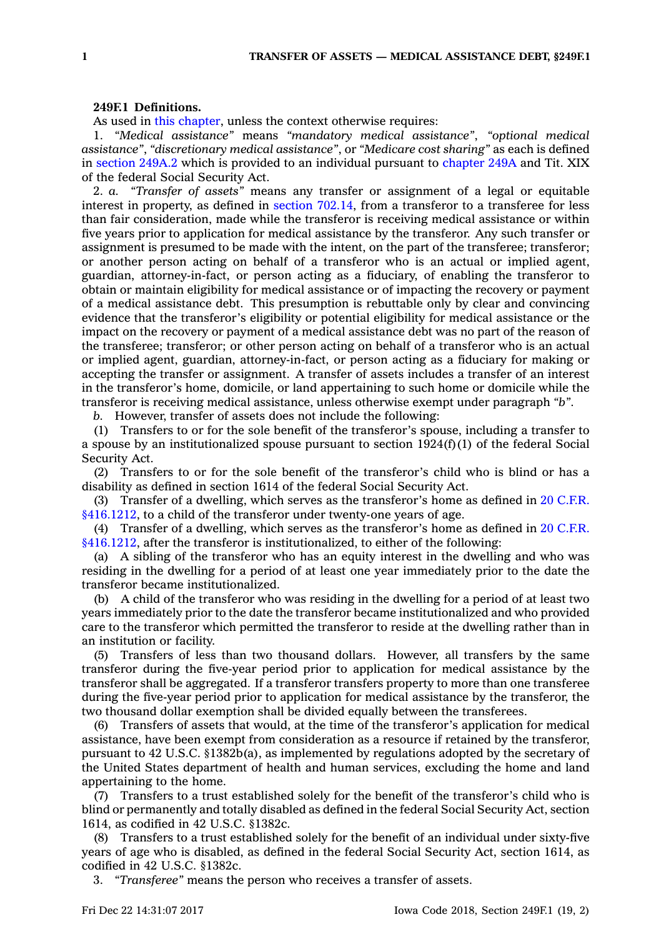## **249F.1 Definitions.**

As used in this [chapter](https://www.legis.iowa.gov/docs/code//249F.pdf), unless the context otherwise requires:

1. *"Medical assistance"* means *"mandatory medical assistance"*, *"optional medical assistance"*, *"discretionary medical assistance"*, or *"Medicare cost sharing"* as each is defined in [section](https://www.legis.iowa.gov/docs/code/249A.2.pdf) 249A.2 which is provided to an individual pursuant to [chapter](https://www.legis.iowa.gov/docs/code//249A.pdf) 249A and Tit. XIX of the federal Social Security Act.

2. *a. "Transfer of assets"* means any transfer or assignment of <sup>a</sup> legal or equitable interest in property, as defined in section [702.14](https://www.legis.iowa.gov/docs/code/702.14.pdf), from <sup>a</sup> transferor to <sup>a</sup> transferee for less than fair consideration, made while the transferor is receiving medical assistance or within five years prior to application for medical assistance by the transferor. Any such transfer or assignment is presumed to be made with the intent, on the part of the transferee; transferor; or another person acting on behalf of <sup>a</sup> transferor who is an actual or implied agent, guardian, attorney-in-fact, or person acting as <sup>a</sup> fiduciary, of enabling the transferor to obtain or maintain eligibility for medical assistance or of impacting the recovery or payment of <sup>a</sup> medical assistance debt. This presumption is rebuttable only by clear and convincing evidence that the transferor's eligibility or potential eligibility for medical assistance or the impact on the recovery or payment of <sup>a</sup> medical assistance debt was no part of the reason of the transferee; transferor; or other person acting on behalf of <sup>a</sup> transferor who is an actual or implied agent, guardian, attorney-in-fact, or person acting as <sup>a</sup> fiduciary for making or accepting the transfer or assignment. A transfer of assets includes <sup>a</sup> transfer of an interest in the transferor's home, domicile, or land appertaining to such home or domicile while the transferor is receiving medical assistance, unless otherwise exempt under paragraph *"b"*.

*b.* However, transfer of assets does not include the following:

(1) Transfers to or for the sole benefit of the transferor's spouse, including <sup>a</sup> transfer to <sup>a</sup> spouse by an institutionalized spouse pursuant to section 1924(f)(1) of the federal Social Security Act.

(2) Transfers to or for the sole benefit of the transferor's child who is blind or has <sup>a</sup> disability as defined in section 1614 of the federal Social Security Act.

(3) Transfer of <sup>a</sup> dwelling, which serves as the transferor's home as defined in 20 [C.F.R.](https://www.law.cornell.edu/cfr/text/20/416.1212) [§416.1212](https://www.law.cornell.edu/cfr/text/20/416.1212), to <sup>a</sup> child of the transferor under twenty-one years of age.

(4) Transfer of <sup>a</sup> dwelling, which serves as the transferor's home as defined in 20 [C.F.R.](https://www.law.cornell.edu/cfr/text/20/416.1212) [§416.1212](https://www.law.cornell.edu/cfr/text/20/416.1212), after the transferor is institutionalized, to either of the following:

(a) A sibling of the transferor who has an equity interest in the dwelling and who was residing in the dwelling for <sup>a</sup> period of at least one year immediately prior to the date the transferor became institutionalized.

(b) A child of the transferor who was residing in the dwelling for <sup>a</sup> period of at least two years immediately prior to the date the transferor became institutionalized and who provided care to the transferor which permitted the transferor to reside at the dwelling rather than in an institution or facility.

(5) Transfers of less than two thousand dollars. However, all transfers by the same transferor during the five-year period prior to application for medical assistance by the transferor shall be aggregated. If <sup>a</sup> transferor transfers property to more than one transferee during the five-year period prior to application for medical assistance by the transferor, the two thousand dollar exemption shall be divided equally between the transferees.

(6) Transfers of assets that would, at the time of the transferor's application for medical assistance, have been exempt from consideration as <sup>a</sup> resource if retained by the transferor, pursuant to 42 U.S.C. §1382b(a), as implemented by regulations adopted by the secretary of the United States department of health and human services, excluding the home and land appertaining to the home.

(7) Transfers to <sup>a</sup> trust established solely for the benefit of the transferor's child who is blind or permanently and totally disabled as defined in the federal Social Security Act, section 1614, as codified in 42 U.S.C. §1382c.

(8) Transfers to <sup>a</sup> trust established solely for the benefit of an individual under sixty-five years of age who is disabled, as defined in the federal Social Security Act, section 1614, as codified in 42 U.S.C. §1382c.

3. *"Transferee"* means the person who receives <sup>a</sup> transfer of assets.